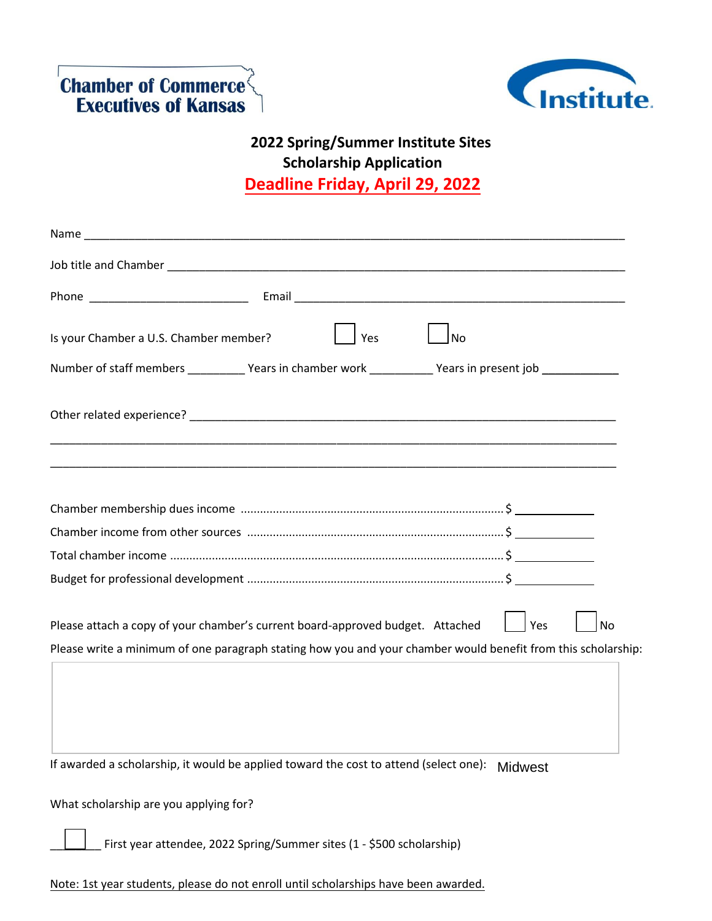



## **2022 Spring/Summer Institute Sites Scholarship Application Deadline Friday, April 29, 2022**

| Is your Chamber a U.S. Chamber member?                                                                        | Yes<br><b>No</b> |                |    |
|---------------------------------------------------------------------------------------------------------------|------------------|----------------|----|
| Number of staff members ____________Years in chamber work ___________Years in present job __________          |                  |                |    |
|                                                                                                               |                  |                |    |
|                                                                                                               |                  |                |    |
|                                                                                                               |                  |                |    |
|                                                                                                               |                  |                |    |
|                                                                                                               |                  |                |    |
|                                                                                                               |                  |                |    |
| Please attach a copy of your chamber's current board-approved budget. Attached                                |                  | <b>Yes</b>     | No |
| Please write a minimum of one paragraph stating how you and your chamber would benefit from this scholarship: |                  |                |    |
|                                                                                                               |                  |                |    |
|                                                                                                               |                  |                |    |
| If awarded a scholarship, it would be applied toward the cost to attend (select one):                         |                  | <b>Midwest</b> |    |
| What scholarship are you applying for?                                                                        |                  |                |    |
|                                                                                                               |                  |                |    |

Note: 1st year students, please do not enroll until scholarships have been awarded.

First year attendee, 2022 Spring/Summer sites (1 - \$500 scholarship)